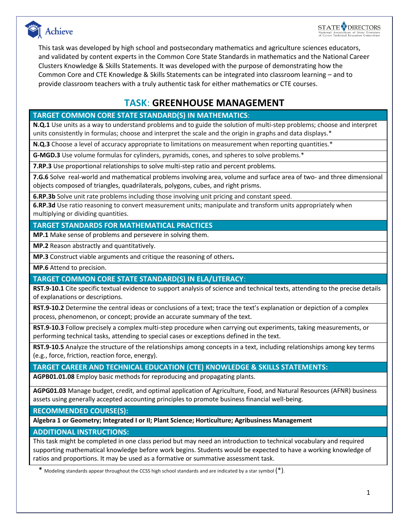



This task was developed by high school and postsecondary mathematics and agriculture sciences educators, and validated by content experts in the Common Core State Standards in mathematics and the National Career Clusters Knowledge & Skills Statements. It was developed with the purpose of demonstrating how the Common Core and CTE Knowledge & Skills Statements can be integrated into classroom learning – and to provide classroom teachers with a truly authentic task for either mathematics or CTE courses.

### **TASK**: **GREENHOUSE MANAGEMENT**

#### **TARGET COMMON CORE STATE STANDARD(S) IN MATHEMATICS**:

**N.Q.1** Use units as a way to understand problems and to guide the solution of multi-step problems; choose and interpret units consistently in formulas; choose and interpret the scale and the origin in graphs and data displays.\*

**N.Q.3** Choose a level of accuracy appropriate to limitations on measurement when reporting quantities.\*

**G-MGD.3** Use volume formulas for cylinders, pyramids, cones, and spheres to solve problems.\*

**7.RP.3** Use proportional relationships to solve multi-step ratio and percent problems*.* 

**7.G.6** Solve real-world and mathematical problems involving area, volume and surface area of two- and three dimensional objects composed of triangles, quadrilaterals, polygons, cubes, and right prisms.

**6.RP.3b** Solve unit rate problems including those involving unit pricing and constant speed.

**6.RP.3d** Use ratio reasoning to convert measurement units; manipulate and transform units appropriately when multiplying or dividing quantities.

#### **TARGET STANDARDS FOR MATHEMATICAL PRACTICES**

**MP.1** Make sense of problems and persevere in solving them.

**MP.2** Reason abstractly and quantitatively.

**MP.3** Construct viable arguments and critique the reasoning of others**.**

**MP.6** Attend to precision.

#### **TARGET COMMON CORE STATE STANDARD(S) IN ELA/LITERACY**:

**RST.9-10.1** Cite specific textual evidence to support analysis of science and technical texts, attending to the precise details of explanations or descriptions.

**RST.9-10.2** Determine the central ideas or conclusions of a text; trace the text's explanation or depiction of a complex process, phenomenon, or concept; provide an accurate summary of the text.

**RST.9-10.3** Follow precisely a complex multi-step procedure when carrying out experiments, taking measurements, or performing technical tasks, attending to special cases or exceptions defined in the text.

**RST.9-10.5** Analyze the structure of the relationships among concepts in a text, including relationships among key terms (e.g., force, friction, reaction force, energy).

#### **TARGET CAREER AND TECHNICAL EDUCATION (CTE) KNOWLEDGE & SKILLS STATEMENTS:**

**AGPB01.01.08** Employ basic methods for reproducing and propagating plants.

**AGPG01.03** Manage budget, credit, and optimal application of Agriculture, Food, and Natural Resources (AFNR) business assets using generally accepted accounting principles to promote business financial well-being.

**RECOMMENDED COURSE(S):**

**Algebra 1 or Geometry; Integrated I or II; Plant Science; Horticulture; Agribusiness Management**

#### **ADDITIONAL INSTRUCTIONS:**

This task might be completed in one class period but may need an introduction to technical vocabulary and required supporting mathematical knowledge before work begins. Students would be expected to have a working knowledge of ratios and proportions. It may be used as a formative or summative assessment task.

\* Modeling standards appear throughout the CCSS high school standards and are indicated by a star symbol  $(*).$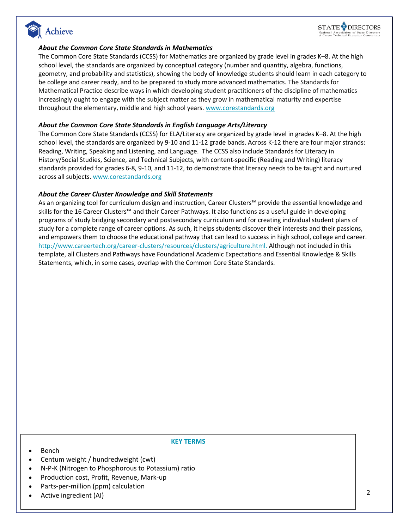



#### *About the Common Core State Standards in Mathematics*

The Common Core State Standards (CCSS) for Mathematics are organized by grade level in grades K–8. At the high school level, the standards are organized by conceptual category (number and quantity, algebra, functions, geometry, and probability and statistics), showing the body of knowledge students should learn in each category to be college and career ready, and to be prepared to study more advanced mathematics. The Standards for Mathematical Practice describe ways in which developing student practitioners of the discipline of mathematics increasingly ought to engage with the subject matter as they grow in mathematical maturity and expertise throughout the elementary, middle and high school years. [www.corestandards.org](http://www.corestandards.org/)

#### *About the Common Core State Standards in English Language Arts/Literacy*

The Common Core State Standards (CCSS) for ELA/Literacy are organized by grade level in grades K–8. At the high school level, the standards are organized by 9-10 and 11-12 grade bands. Across K-12 there are four major strands: Reading, Writing, Speaking and Listening, and Language. The CCSS also include Standards for Literacy in History/Social Studies, Science, and Technical Subjects, with content-specific (Reading and Writing) literacy standards provided for grades 6-8, 9-10, and 11-12, to demonstrate that literacy needs to be taught and nurtured across all subjects. [www.corestandards.org](http://www.corestandards.org/)

#### *About the Career Cluster Knowledge and Skill Statements*

As an organizing tool for curriculum design and instruction, Career Clusters™ provide the essential knowledge and skills for the 16 Career Clusters™ and their Career Pathways. It also functions as a useful guide in developing programs of study bridging secondary and postsecondary curriculum and for creating individual student plans of study for a complete range of career options. As such, it helps students discover their interests and their passions, and empowers them to choose the educational pathway that can lead to success in high school, college and career. [http://www.careertech.org/career-clusters/resources/clusters/agriculture.html.](http://www.careertech.org/career-clusters/resources/clusters/agriculture.html) Although not included in this template, all Clusters and Pathways have Foundational Academic Expectations and Essential Knowledge & Skills Statements, which, in some cases, overlap with the Common Core State Standards.

#### • Bench

#### **KEY TERMS**

- Centum weight / hundredweight (cwt)
- N-P-K (Nitrogen to Phosphorous to Potassium) ratio
- Production cost, Profit, Revenue, Mark-up
- Parts-per-million (ppm) calculation
- Active ingredient (AI)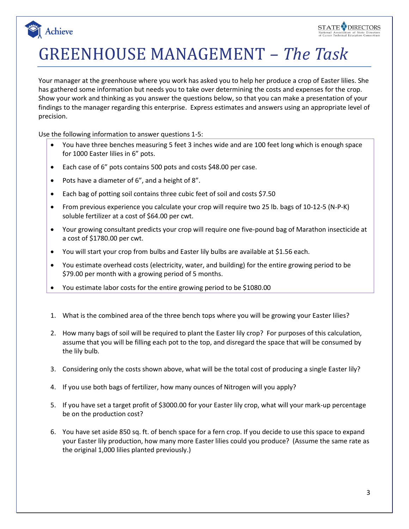

GREENHOUSE MANAGEMENT *– The Task*

Your manager at the greenhouse where you work has asked you to help her produce a crop of Easter lilies. She has gathered some information but needs you to take over determining the costs and expenses for the crop. Show your work and thinking as you answer the questions below, so that you can make a presentation of your findings to the manager regarding this enterprise. Express estimates and answers using an appropriate level of precision.

Use the following information to answer questions 1-5:

Achieve

- You have three benches measuring 5 feet 3 inches wide and are 100 feet long which is enough space for 1000 Easter lilies in 6" pots.
- Each case of 6" pots contains 500 pots and costs \$48.00 per case.
- Pots have a diameter of 6", and a height of 8".
- Each bag of potting soil contains three cubic feet of soil and costs \$7.50
- From previous experience you calculate your crop will require two 25 lb. bags of 10-12-5 (N-P-K) soluble fertilizer at a cost of \$64.00 per cwt.
- Your growing consultant predicts your crop will require one five-pound bag of Marathon insecticide at a cost of \$1780.00 per cwt.
- You will start your crop from bulbs and Easter lily bulbs are available at \$1.56 each.
- You estimate overhead costs (electricity, water, and building) for the entire growing period to be \$79.00 per month with a growing period of 5 months.
- You estimate labor costs for the entire growing period to be \$1080.00
- 1. What is the combined area of the three bench tops where you will be growing your Easter lilies?
- 2. How many bags of soil will be required to plant the Easter lily crop? For purposes of this calculation, assume that you will be filling each pot to the top, and disregard the space that will be consumed by the lily bulb.
- 3. Considering only the costs shown above, what will be the total cost of producing a single Easter lily?
- 4. If you use both bags of fertilizer, how many ounces of Nitrogen will you apply?
- 5. If you have set a target profit of \$3000.00 for your Easter lily crop, what will your mark-up percentage be on the production cost?
- 6. You have set aside 850 sq. ft. of bench space for a fern crop. If you decide to use this space to expand your Easter lily production, how many more Easter lilies could you produce? (Assume the same rate as the original 1,000 lilies planted previously.)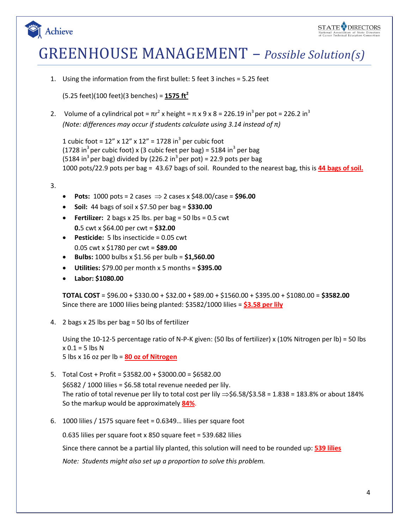



# GREENHOUSE MANAGEMENT – *Possible Solution(s)*

1. Using the information from the first bullet: 5 feet 3 inches = 5.25 feet

(5.25 feet)(100 feet)(3 benches) = **1575 ft<sup>2</sup>**

2. Volume of a cylindrical pot =  $\pi r^2$  x height =  $\pi$  x 9 x 8 = 226.19 in<sup>3</sup> per pot = 226.2 in<sup>3</sup> *(Note: differences may occur if students calculate using 3.14 instead of π)*

1 cubic foot =  $12''$  x  $12''$  x  $12''$  =  $1728$  in<sup>3</sup> per cubic foot (1728 in<sup>3</sup> per cubic foot) x (3 cubic feet per bag) = 5184 in<sup>3</sup> per bag (5184 in<sup>3</sup> per bag) divided by (226.2 in<sup>3</sup> per pot) = 22.9 pots per bag 1000 pots/22.9 pots per bag = 43.67 bags of soil. Rounded to the nearest bag, this is **44 bags of soil.**

#### 3.

- **•** Pots:  $1000 \text{ pots} = 2 \text{ cases } \Rightarrow 2 \text{ cases } x \text{ $48.00/case} = $96.00$
- **Soil:** 44 bags of soil x \$7.50 per bag = **\$330.00**
- **Fertilizer:** 2 bags x 25 lbs. per bag =  $50$  lbs =  $0.5$  cwt **0.**5 cwt x \$64.00 per cwt = **\$32.00**
- **Pesticide:** 5 lbs insecticide = 0.05 cwt 0.05 cwt x \$1780 per cwt = **\$89.00**
- **Bulbs:** 1000 bulbs x \$1.56 per bulb = **\$1,560.00**
- **Utilities:** \$79.00 per month x 5 months = **\$395.00**
- **Labor: \$1080.00**

**TOTAL COST** = \$96.00 + \$330.00 + \$32.00 + \$89.00 + \$1560.00 + \$395.00 + \$1080.00 = **\$3582.00** Since there are 1000 lilies being planted: \$3582/1000 lilies = **\$3.58 per lily**

4. 2 bags x 25 lbs per bag = 50 lbs of fertilizer

Using the 10-12-5 percentage ratio of N-P-K given: (50 lbs of fertilizer) x (10% Nitrogen per lb) = 50 lbs  $x 0.1 = 5$  lbs N 5 lbs x 16 oz per lb = **80 oz of Nitrogen**

- 5. Total Cost + Profit = \$3582.00 + \$3000.00 = \$6582.00  $$6582 / 1000$  lilies = \$6.58 total revenue needed per lily. The ratio of total revenue per lily to total cost per lily  $\Rightarrow$  \$6.58/\$3.58 = 1.838 = 183.8% or about 184% So the markup would be approximately **84%**.
- 6. 1000 lilies / 1575 square feet = 0.6349… lilies per square foot

0.635 lilies per square foot x 850 square feet = 539.682 lilies

Since there cannot be a partial lily planted, this solution will need to be rounded up: **539 lilies**

*Note: Students might also set up a proportion to solve this problem.*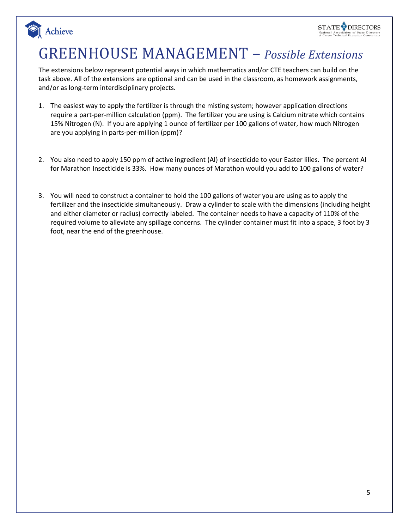

## GREENHOUSE MANAGEMENT – *Possible Extensions*

Achieve

The extensions below represent potential ways in which mathematics and/or CTE teachers can build on the task above. All of the extensions are optional and can be used in the classroom, as homework assignments, and/or as long-term interdisciplinary projects.

- 1. The easiest way to apply the fertilizer is through the misting system; however application directions require a part-per-million calculation (ppm). The fertilizer you are using is Calcium nitrate which contains 15% Nitrogen (N). If you are applying 1 ounce of fertilizer per 100 gallons of water, how much Nitrogen are you applying in parts-per-million (ppm)?
- 2. You also need to apply 150 ppm of active ingredient (AI) of insecticide to your Easter lilies. The percent AI for Marathon Insecticide is 33%. How many ounces of Marathon would you add to 100 gallons of water?
- 3. You will need to construct a container to hold the 100 gallons of water you are using as to apply the fertilizer and the insecticide simultaneously. Draw a cylinder to scale with the dimensions (including height and either diameter or radius) correctly labeled. The container needs to have a capacity of 110% of the required volume to alleviate any spillage concerns. The cylinder container must fit into a space, 3 foot by 3 foot, near the end of the greenhouse.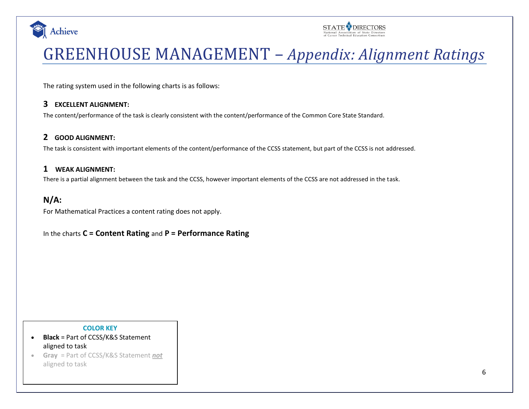



# GREENHOUSE MANAGEMENT – *Appendix: Alignment Ratings*

The rating system used in the following charts is as follows:

#### **3 EXCELLENT ALIGNMENT:**

The content/performance of the task is clearly consistent with the content/performance of the Common Core State Standard.

#### **2 GOOD ALIGNMENT:**

The task is consistent with important elements of the content/performance of the CCSS statement, but part of the CCSS is not addressed.

#### **1 WEAK ALIGNMENT:**

There is a partial alignment between the task and the CCSS, however important elements of the CCSS are not addressed in the task.

### **N/A:**

For Mathematical Practices a content rating does not apply.

In the charts **C = Content Rating** and **P = Performance Rating**

#### **COLOR KEY**

- **Black** = Part of CCSS/K&S Statement aligned to task
- **Gray** = Part of CCSS/K&S Statement *not* aligned to task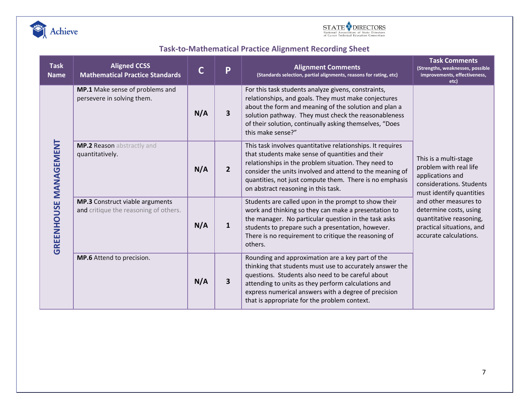



## **Task-to-Mathematical Practice Alignment Recording Sheet**

| <b>Task</b><br><b>Name</b> | <b>Aligned CCSS</b><br><b>Mathematical Practice Standards</b>                   | C   | P              | <b>Alignment Comments</b><br>(Standards selection, partial alignments, reasons for rating, etc)                                                                                                                                                                                                                                      | <b>Task Comments</b><br>(Strengths, weaknesses, possible<br>improvements, effectiveness,<br>etc)                                                                                                                                                                 |  |
|----------------------------|---------------------------------------------------------------------------------|-----|----------------|--------------------------------------------------------------------------------------------------------------------------------------------------------------------------------------------------------------------------------------------------------------------------------------------------------------------------------------|------------------------------------------------------------------------------------------------------------------------------------------------------------------------------------------------------------------------------------------------------------------|--|
| GREENHOUSE MANAGEMENT      | MP.1 Make sense of problems and<br>persevere in solving them.                   | N/A | 3              | For this task students analyze givens, constraints,<br>relationships, and goals. They must make conjectures<br>about the form and meaning of the solution and plan a<br>solution pathway. They must check the reasonableness<br>of their solution, continually asking themselves, "Does<br>this make sense?"                         |                                                                                                                                                                                                                                                                  |  |
|                            | MP.2 Reason abstractly and<br>quantitatively.                                   | N/A | $\overline{2}$ | This task involves quantitative relationships. It requires<br>that students make sense of quantities and their<br>relationships in the problem situation. They need to<br>consider the units involved and attend to the meaning of<br>quantities, not just compute them. There is no emphasis<br>on abstract reasoning in this task. | This is a multi-stage<br>problem with real life<br>applications and<br>considerations. Students<br>must identify quantities<br>and other measures to<br>determine costs, using<br>quantitative reasoning,<br>practical situations, and<br>accurate calculations. |  |
|                            | <b>MP.3</b> Construct viable arguments<br>and critique the reasoning of others. | N/A | 1              | Students are called upon in the prompt to show their<br>work and thinking so they can make a presentation to<br>the manager. No particular question in the task asks<br>students to prepare such a presentation, however.<br>There is no requirement to critique the reasoning of<br>others.                                         |                                                                                                                                                                                                                                                                  |  |
|                            | MP.6 Attend to precision.                                                       | N/A | 3              | Rounding and approximation are a key part of the<br>thinking that students must use to accurately answer the<br>questions. Students also need to be careful about<br>attending to units as they perform calculations and<br>express numerical answers with a degree of precision<br>that is appropriate for the problem context.     |                                                                                                                                                                                                                                                                  |  |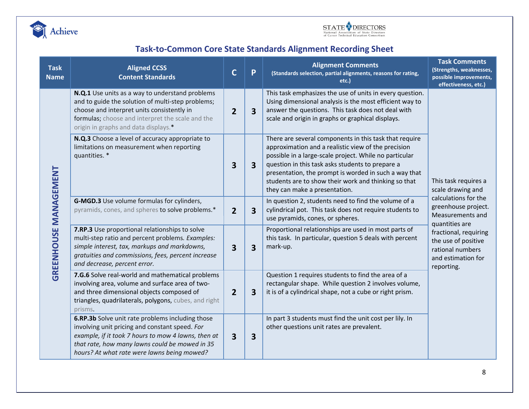



## **Task-to-Common Core State Standards Alignment Recording Sheet**

| <b>Task</b><br><b>Name</b>   | <b>Aligned CCSS</b><br><b>Content Standards</b>                                                                                                                                                                                                            | $\mathsf{C}$                                                                                                                                                                                                                                          | P | <b>Alignment Comments</b><br>(Standards selection, partial alignments, reasons for rating,<br>etc.)                                                                                                                                                                                                                                                                           | <b>Task Comments</b><br>(Strengths, weaknesses,<br>possible improvements,<br>effectiveness, etc.)                              |  |
|------------------------------|------------------------------------------------------------------------------------------------------------------------------------------------------------------------------------------------------------------------------------------------------------|-------------------------------------------------------------------------------------------------------------------------------------------------------------------------------------------------------------------------------------------------------|---|-------------------------------------------------------------------------------------------------------------------------------------------------------------------------------------------------------------------------------------------------------------------------------------------------------------------------------------------------------------------------------|--------------------------------------------------------------------------------------------------------------------------------|--|
| <b>GREENHOUSE MANAGEMENT</b> | N.Q.1 Use units as a way to understand problems<br>and to guide the solution of multi-step problems;<br>choose and interpret units consistently in<br>formulas; choose and interpret the scale and the<br>origin in graphs and data displays.*             | This task emphasizes the use of units in every question.<br>Using dimensional analysis is the most efficient way to<br>answer the questions. This task does not deal with<br>3<br>$\overline{2}$<br>scale and origin in graphs or graphical displays. |   |                                                                                                                                                                                                                                                                                                                                                                               |                                                                                                                                |  |
|                              | N.Q.3 Choose a level of accuracy appropriate to<br>limitations on measurement when reporting<br>quantities. *<br>G-MGD.3 Use volume formulas for cylinders,<br>pyramids, cones, and spheres to solve problems.*                                            |                                                                                                                                                                                                                                                       | 3 | There are several components in this task that require<br>approximation and a realistic view of the precision<br>possible in a large-scale project. While no particular<br>question in this task asks students to prepare a<br>presentation, the prompt is worded in such a way that<br>students are to show their work and thinking so that<br>they can make a presentation. | This task requires a<br>scale drawing and<br>calculations for the<br>greenhouse project.<br>Measurements and<br>quantities are |  |
|                              |                                                                                                                                                                                                                                                            |                                                                                                                                                                                                                                                       | 3 | In question 2, students need to find the volume of a<br>cylindrical pot. This task does not require students to<br>use pyramids, cones, or spheres.                                                                                                                                                                                                                           |                                                                                                                                |  |
|                              | 7.RP.3 Use proportional relationships to solve<br>multi-step ratio and percent problems. Examples:<br>simple interest, tax, markups and markdowns,<br>gratuities and commissions, fees, percent increase<br>and decrease, percent error.                   | 3                                                                                                                                                                                                                                                     | 3 | Proportional relationships are used in most parts of<br>this task. In particular, question 5 deals with percent<br>mark-up.                                                                                                                                                                                                                                                   | fractional, requiring<br>the use of positive<br>rational numbers<br>and estimation for<br>reporting.                           |  |
|                              | 7.G.6 Solve real-world and mathematical problems<br>involving area, volume and surface area of two-<br>and three dimensional objects composed of<br>triangles, quadrilaterals, polygons, cubes, and right<br>prisms.                                       | $\overline{2}$                                                                                                                                                                                                                                        | 3 | Question 1 requires students to find the area of a<br>rectangular shape. While question 2 involves volume,<br>it is of a cylindrical shape, not a cube or right prism.                                                                                                                                                                                                        |                                                                                                                                |  |
|                              | 6.RP.3b Solve unit rate problems including those<br>involving unit pricing and constant speed. For<br>example, if it took 7 hours to mow 4 lawns, then at<br>that rate, how many lawns could be mowed in 35<br>hours? At what rate were lawns being mowed? |                                                                                                                                                                                                                                                       | 3 | In part 3 students must find the unit cost per lily. In<br>other questions unit rates are prevalent.                                                                                                                                                                                                                                                                          |                                                                                                                                |  |